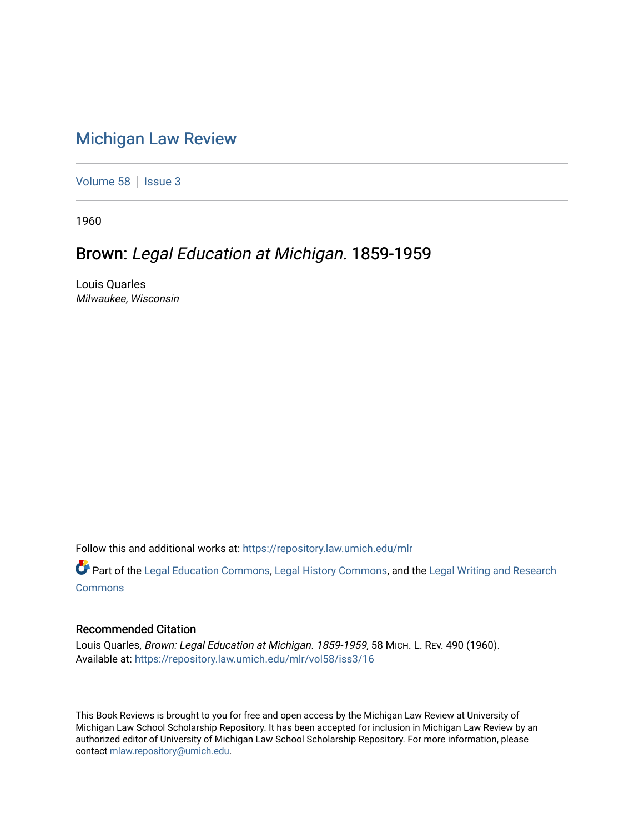## [Michigan Law Review](https://repository.law.umich.edu/mlr)

[Volume 58](https://repository.law.umich.edu/mlr/vol58) | [Issue 3](https://repository.law.umich.edu/mlr/vol58/iss3)

1960

## Brown: Legal Education at Michigan. 1859-1959

Louis Quarles Milwaukee, Wisconsin

Follow this and additional works at: [https://repository.law.umich.edu/mlr](https://repository.law.umich.edu/mlr?utm_source=repository.law.umich.edu%2Fmlr%2Fvol58%2Fiss3%2F16&utm_medium=PDF&utm_campaign=PDFCoverPages) 

Part of the [Legal Education Commons,](http://network.bepress.com/hgg/discipline/857?utm_source=repository.law.umich.edu%2Fmlr%2Fvol58%2Fiss3%2F16&utm_medium=PDF&utm_campaign=PDFCoverPages) [Legal History Commons](http://network.bepress.com/hgg/discipline/904?utm_source=repository.law.umich.edu%2Fmlr%2Fvol58%2Fiss3%2F16&utm_medium=PDF&utm_campaign=PDFCoverPages), and the [Legal Writing and Research](http://network.bepress.com/hgg/discipline/614?utm_source=repository.law.umich.edu%2Fmlr%2Fvol58%2Fiss3%2F16&utm_medium=PDF&utm_campaign=PDFCoverPages) [Commons](http://network.bepress.com/hgg/discipline/614?utm_source=repository.law.umich.edu%2Fmlr%2Fvol58%2Fiss3%2F16&utm_medium=PDF&utm_campaign=PDFCoverPages)

## Recommended Citation

Louis Quarles, Brown: Legal Education at Michigan. 1859-1959, 58 MICH. L. REV. 490 (1960). Available at: [https://repository.law.umich.edu/mlr/vol58/iss3/16](https://repository.law.umich.edu/mlr/vol58/iss3/16?utm_source=repository.law.umich.edu%2Fmlr%2Fvol58%2Fiss3%2F16&utm_medium=PDF&utm_campaign=PDFCoverPages) 

This Book Reviews is brought to you for free and open access by the Michigan Law Review at University of Michigan Law School Scholarship Repository. It has been accepted for inclusion in Michigan Law Review by an authorized editor of University of Michigan Law School Scholarship Repository. For more information, please contact [mlaw.repository@umich.edu](mailto:mlaw.repository@umich.edu).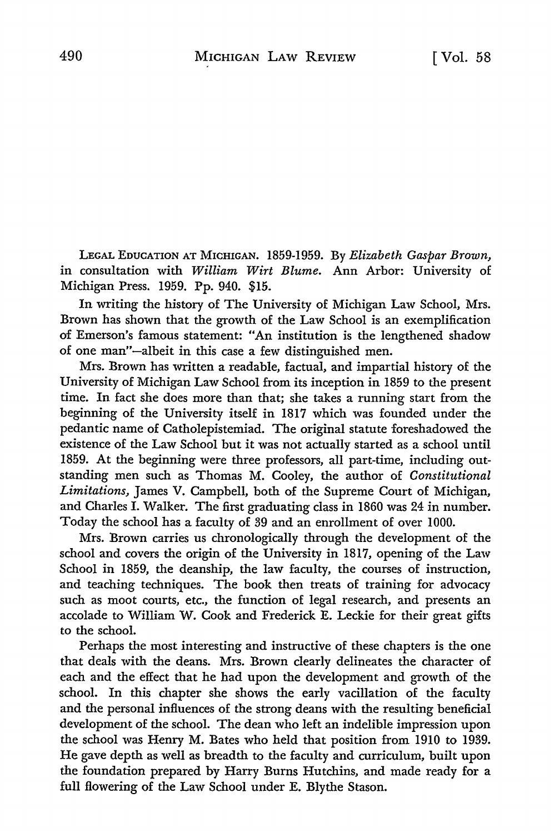LEGAL EDUCATION AT MICHIGAN. 1859-1959. By *Elizabeth Gaspar Brown,*  in consultation with *William Wirt Blume.* Ann Arbor: University of Michigan Press. 1959. Pp. 940. \$15.

In writing the history of The University of Michigan Law School, Mrs. Brown has shown that the growth of the Law School is an exemplification of Emerson's famous statement: "An institution is the lengthened shadow of one man"-albeit in this case a few distinguished men.

Mrs. Brown has written a readable, factual, and impartial history of the University of Michigan Law School from its inception in 1859 to the present time. In fact she does more than that; she takes a running start from the beginning of the University itself in 1817 which was founded under the pedantic name of Catholepistemiad. The original statute foreshadowed the existence of the Law School but it was not actually started as a school until 1859. At the beginning were three professors, all part-time, including outstanding men such as Thomas M. Cooley, the author of *Constitutional Limitations,* James V. Campbell, both of the Supreme Court of Michigan, and Charles I. Walker. The first graduating class in 1860 was 24 in number. Today the school has a faculty of 39 and an enrollment of over 1000.

Mrs. Brown carries us chronologically through the development of the school and covers the origin of the University in 1817, opening of the Law School in 1859, the deanship, the law faculty, the courses of instruction, and teaching techniques. The book then treats of training for advocacy such as moot courts, etc., the function of legal research, and presents an accolade to William W. Cook and Frederick E. Leckie for their great gifts to the school.

Perhaps the most interesting and instructive of these chapters is the one that deals with the deans. Mrs. Brown clearly delineates the character of each and the effect that he had upon the development and growth of the school. In this chapter she shows the early vacillation of the faculty and the personal influences of the strong deans with the resulting beneficial development of the school. The dean who left an indelible impression upon the school was Henry M. Bates who held that position from 1910 to 1939. He gave depth as well as breadth to the faculty and curriculum, built upon the foundation prepared by Harry Burns Hutchins, and made ready for a full flowering of the Law School under E. Blythe Stason.